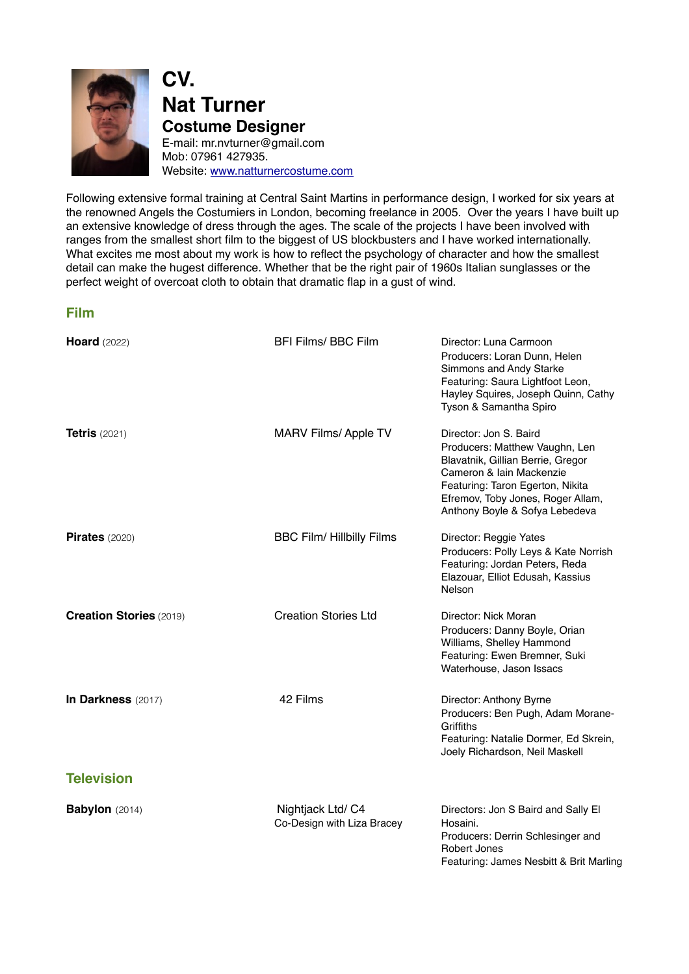

**CV. Nat Turner Costume Designer** E-mail: [mr.nvturner@gmail.com](mailto:mr.nvturner@gmail.com) Mob: 07961 427935. Website: [www.natturnercostume.com](http://www.natturnercostume.com)

Following extensive formal training at Central Saint Martins in performance design, I worked for six years at the renowned Angels the Costumiers in London, becoming freelance in 2005. Over the years I have built up an extensive knowledge of dress through the ages. The scale of the projects I have been involved with ranges from the smallest short film to the biggest of US blockbusters and I have worked internationally. What excites me most about my work is how to reflect the psychology of character and how the smallest detail can make the hugest difference. Whether that be the right pair of 1960s Italian sunglasses or the perfect weight of overcoat cloth to obtain that dramatic flap in a gust of wind.

#### **Film**

| <b>Hoard</b> (2022)            | <b>BFI Films/ BBC Film</b>                      | Director: Luna Carmoon<br>Producers: Loran Dunn, Helen<br>Simmons and Andy Starke<br>Featuring: Saura Lightfoot Leon,<br>Hayley Squires, Joseph Quinn, Cathy<br>Tyson & Samantha Spiro                                               |
|--------------------------------|-------------------------------------------------|--------------------------------------------------------------------------------------------------------------------------------------------------------------------------------------------------------------------------------------|
| <b>Tetris</b> $(2021)$         | <b>MARV Films/ Apple TV</b>                     | Director: Jon S. Baird<br>Producers: Matthew Vaughn, Len<br>Blavatnik, Gillian Berrie, Gregor<br>Cameron & Iain Mackenzie<br>Featuring: Taron Egerton, Nikita<br>Efremov, Toby Jones, Roger Allam,<br>Anthony Boyle & Sofya Lebedeva |
| <b>Pirates</b> (2020)          | <b>BBC Film/ Hillbilly Films</b>                | Director: Reggie Yates<br>Producers: Polly Leys & Kate Norrish<br>Featuring: Jordan Peters, Reda<br>Elazouar, Elliot Edusah, Kassius<br>Nelson                                                                                       |
| <b>Creation Stories (2019)</b> | <b>Creation Stories Ltd</b>                     | Director: Nick Moran<br>Producers: Danny Boyle, Orian<br>Williams, Shelley Hammond<br>Featuring: Ewen Bremner, Suki<br>Waterhouse, Jason Issacs                                                                                      |
| In Darkness (2017)             | 42 Films                                        | Director: Anthony Byrne<br>Producers: Ben Pugh, Adam Morane-<br>Griffiths<br>Featuring: Natalie Dormer, Ed Skrein,<br>Joely Richardson, Neil Maskell                                                                                 |
| <b>Television</b>              |                                                 |                                                                                                                                                                                                                                      |
| <b>Babylon</b> (2014)          | Nightjack Ltd/ C4<br>Co-Design with Liza Bracey | Directors: Jon S Baird and Sally El<br>Hosaini.<br>Producers: Derrin Schlesinger and<br><b>Robert Jones</b><br>Featuring: James Nesbitt & Brit Marling                                                                               |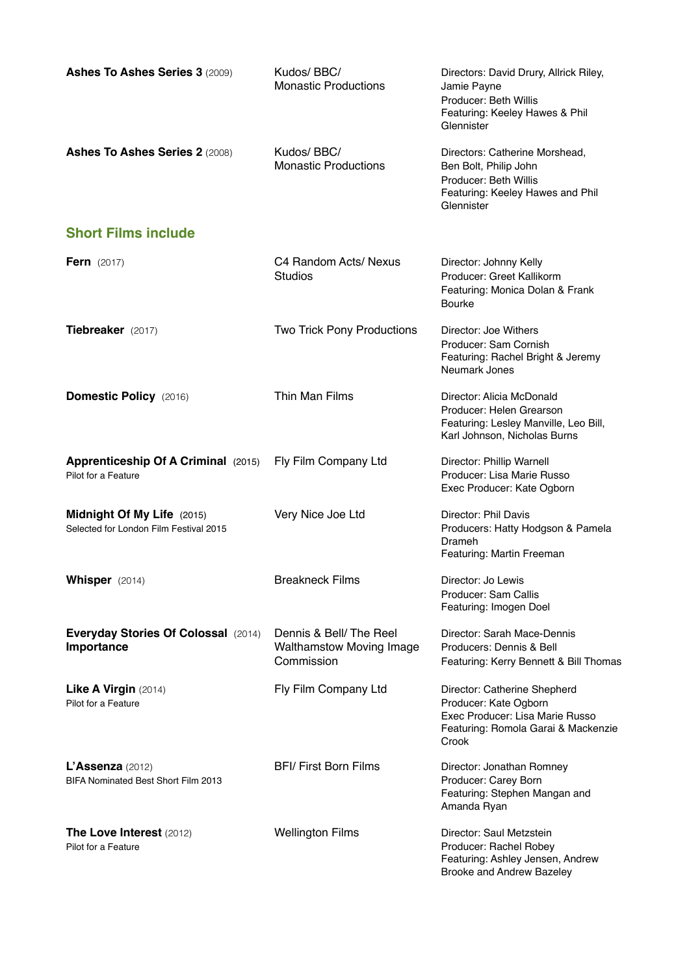| <b>Ashes To Ashes Series 3 (2009)</b>                                | Kudos/BBC/<br><b>Monastic Productions</b>                               | Directors: David Drury, Allrick Riley,<br>Jamie Payne<br>Producer: Beth Willis<br>Featuring: Keeley Hawes & Phil<br>Glennister           |
|----------------------------------------------------------------------|-------------------------------------------------------------------------|------------------------------------------------------------------------------------------------------------------------------------------|
| Ashes To Ashes Series 2 (2008)                                       | Kudos/BBC/<br><b>Monastic Productions</b>                               | Directors: Catherine Morshead,<br>Ben Bolt, Philip John<br>Producer: Beth Willis<br>Featuring: Keeley Hawes and Phil<br>Glennister       |
| <b>Short Films include</b>                                           |                                                                         |                                                                                                                                          |
| <b>Fern</b> $(2017)$                                                 | C4 Random Acts/ Nexus<br><b>Studios</b>                                 | Director: Johnny Kelly<br>Producer: Greet Kallikorm<br>Featuring: Monica Dolan & Frank<br><b>Bourke</b>                                  |
| Tiebreaker (2017)                                                    | Two Trick Pony Productions                                              | Director: Joe Withers<br>Producer: Sam Cornish<br>Featuring: Rachel Bright & Jeremy<br>Neumark Jones                                     |
| Domestic Policy (2016)                                               | Thin Man Films                                                          | Director: Alicia McDonald<br>Producer: Helen Grearson<br>Featuring: Lesley Manville, Leo Bill,<br>Karl Johnson, Nicholas Burns           |
| <b>Apprenticeship Of A Criminal (2015)</b><br>Pilot for a Feature    | Fly Film Company Ltd                                                    | Director: Phillip Warnell<br>Producer: Lisa Marie Russo<br>Exec Producer: Kate Ogborn                                                    |
| Midnight Of My Life (2015)<br>Selected for London Film Festival 2015 | Very Nice Joe Ltd                                                       | Director: Phil Davis<br>Producers: Hatty Hodgson & Pamela<br>Drameh<br>Featuring: Martin Freeman                                         |
| Whisper (2014)                                                       | <b>Breakneck Films</b>                                                  | Director: Jo Lewis<br>Producer: Sam Callis<br>Featuring: Imogen Doel                                                                     |
| <b>Everyday Stories Of Colossal (2014)</b><br>Importance             | Dennis & Bell/The Reel<br><b>Walthamstow Moving Image</b><br>Commission | Director: Sarah Mace-Dennis<br>Producers: Dennis & Bell<br>Featuring: Kerry Bennett & Bill Thomas                                        |
| Like A Virgin (2014)<br>Pilot for a Feature                          | Fly Film Company Ltd                                                    | Director: Catherine Shepherd<br>Producer: Kate Ogborn<br>Exec Producer: Lisa Marie Russo<br>Featuring: Romola Garai & Mackenzie<br>Crook |
| $L'Assenza$ (2012)<br><b>BIFA Nominated Best Short Film 2013</b>     | <b>BFI/ First Born Films</b>                                            | Director: Jonathan Romney<br>Producer: Carey Born<br>Featuring: Stephen Mangan and<br>Amanda Ryan                                        |
| The Love Interest (2012)<br>Pilot for a Feature                      | <b>Wellington Films</b>                                                 | Director: Saul Metzstein<br>Producer: Rachel Robey<br>Featuring: Ashley Jensen, Andrew<br>Brooke and Andrew Bazeley                      |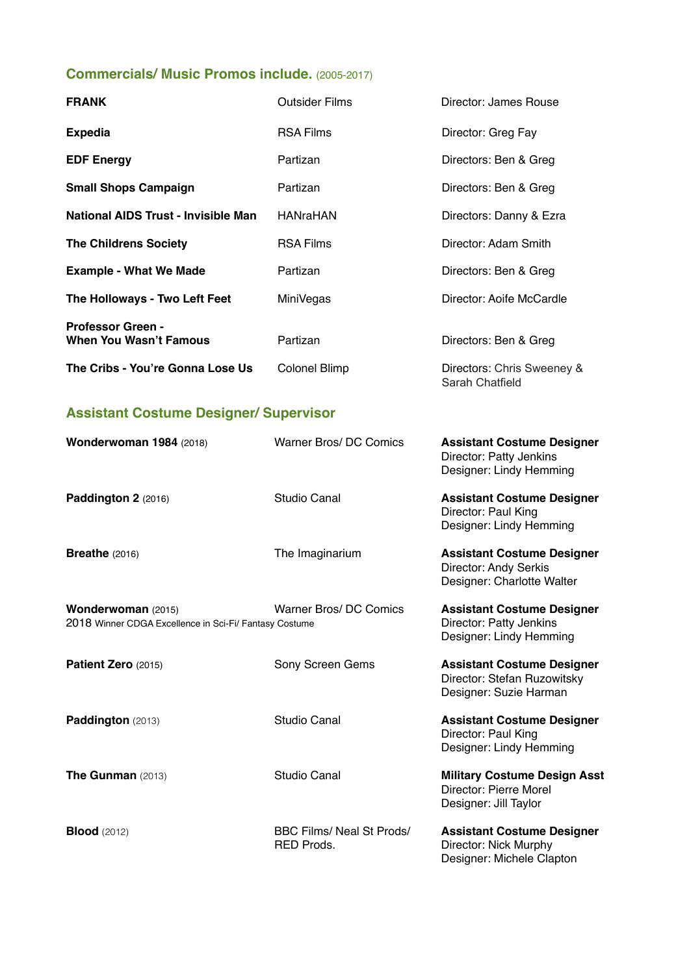# **Commercials/ Music Promos include.** (2005-2017)

| <b>FRANK</b>                                              | <b>Outsider Films</b> | Director: James Rouse                         |
|-----------------------------------------------------------|-----------------------|-----------------------------------------------|
| <b>Expedia</b>                                            | <b>RSA Films</b>      | Director: Greg Fay                            |
| <b>EDF Energy</b>                                         | Partizan              | Directors: Ben & Greg                         |
| <b>Small Shops Campaign</b>                               | Partizan              | Directors: Ben & Greg                         |
| National AIDS Trust - Invisible Man                       | <b>HANraHAN</b>       | Directors: Danny & Ezra                       |
| <b>The Childrens Society</b>                              | <b>RSA Films</b>      | Director: Adam Smith                          |
| <b>Example - What We Made</b>                             | Partizan              | Directors: Ben & Greg                         |
| The Holloways - Two Left Feet                             | MiniVegas             | Director: Aoife McCardle                      |
| <b>Professor Green -</b><br><b>When You Wasn't Famous</b> | Partizan              | Directors: Ben & Greg                         |
| The Cribs - You're Gonna Lose Us                          | Colonel Blimp         | Directors: Chris Sweeney &<br>Sarah Chatfield |

# **Assistant Costume Designer/ Supervisor**

| Wonderwoman 1984 (2018)                                                      | <b>Warner Bros/DC Comics</b>                          | <b>Assistant Costume Designer</b><br>Director: Patty Jenkins<br>Designer: Lindy Hemming    |
|------------------------------------------------------------------------------|-------------------------------------------------------|--------------------------------------------------------------------------------------------|
| Paddington 2 (2016)                                                          | Studio Canal                                          | <b>Assistant Costume Designer</b><br>Director: Paul King<br>Designer: Lindy Hemming        |
| <b>Breathe</b> $(2016)$                                                      | The Imaginarium                                       | <b>Assistant Costume Designer</b><br>Director: Andy Serkis<br>Designer: Charlotte Walter   |
| Wonderwoman (2015)<br>2018 Winner CDGA Excellence in Sci-Fi/ Fantasy Costume | Warner Bros/DC Comics                                 | <b>Assistant Costume Designer</b><br>Director: Patty Jenkins<br>Designer: Lindy Hemming    |
| Patient Zero (2015)                                                          | Sony Screen Gems                                      | <b>Assistant Costume Designer</b><br>Director: Stefan Ruzowitsky<br>Designer: Suzie Harman |
| Paddington (2013)                                                            | Studio Canal                                          | <b>Assistant Costume Designer</b><br>Director: Paul King<br>Designer: Lindy Hemming        |
| The Gunman (2013)                                                            | Studio Canal                                          | <b>Military Costume Design Asst</b><br>Director: Pierre Morel<br>Designer: Jill Taylor     |
| <b>Blood</b> (2012)                                                          | <b>BBC Films/ Neal St Prods/</b><br><b>RED Prods.</b> | <b>Assistant Costume Designer</b><br>Director: Nick Murphy<br>Designer: Michele Clapton    |